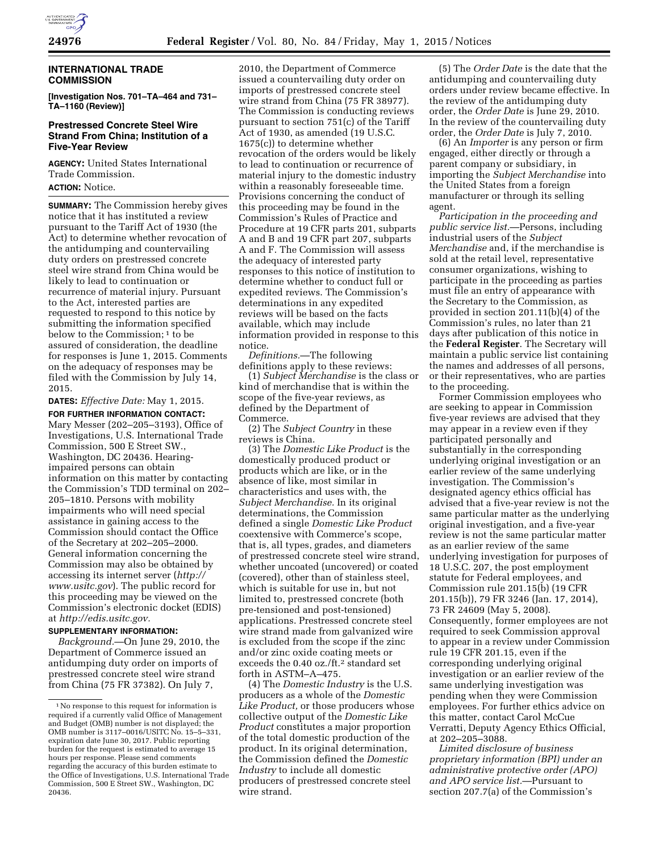

# **INTERNATIONAL TRADE COMMISSION**

**[Investigation Nos. 701–TA–464 and 731– TA–1160 (Review)]** 

# **Prestressed Concrete Steel Wire Strand From China; Institution of a Five-Year Review**

**AGENCY:** United States International Trade Commission.

**ACTION:** Notice.

**SUMMARY:** The Commission hereby gives notice that it has instituted a review pursuant to the Tariff Act of 1930 (the Act) to determine whether revocation of the antidumping and countervailing duty orders on prestressed concrete steel wire strand from China would be likely to lead to continuation or recurrence of material injury. Pursuant to the Act, interested parties are requested to respond to this notice by submitting the information specified below to the Commission;<sup>1</sup> to be assured of consideration, the deadline for responses is June 1, 2015. Comments on the adequacy of responses may be filed with the Commission by July 14, 2015.

**DATES:** *Effective Date:* May 1, 2015.

**FOR FURTHER INFORMATION CONTACT:**  Mary Messer (202–205–3193), Office of Investigations, U.S. International Trade Commission, 500 E Street SW., Washington, DC 20436. Hearingimpaired persons can obtain information on this matter by contacting the Commission's TDD terminal on 202– 205–1810. Persons with mobility impairments who will need special assistance in gaining access to the Commission should contact the Office of the Secretary at 202–205–2000. General information concerning the Commission may also be obtained by accessing its internet server (*[http://](http://www.usitc.gov) [www.usitc.gov](http://www.usitc.gov)*). The public record for this proceeding may be viewed on the Commission's electronic docket (EDIS) at *[http://edis.usitc.gov.](http://edis.usitc.gov)* 

# **SUPPLEMENTARY INFORMATION:**

*Background.*—On June 29, 2010, the Department of Commerce issued an antidumping duty order on imports of prestressed concrete steel wire strand from China (75 FR 37382). On July 7,

2010, the Department of Commerce issued a countervailing duty order on imports of prestressed concrete steel wire strand from China (75 FR 38977). The Commission is conducting reviews pursuant to section 751(c) of the Tariff Act of 1930, as amended (19 U.S.C. 1675(c)) to determine whether revocation of the orders would be likely to lead to continuation or recurrence of material injury to the domestic industry within a reasonably foreseeable time. Provisions concerning the conduct of this proceeding may be found in the Commission's Rules of Practice and Procedure at 19 CFR parts 201, subparts A and B and 19 CFR part 207, subparts A and F. The Commission will assess the adequacy of interested party responses to this notice of institution to determine whether to conduct full or expedited reviews. The Commission's determinations in any expedited reviews will be based on the facts available, which may include information provided in response to this notice.

*Definitions.*—The following definitions apply to these reviews:

(1) *Subject Merchandise* is the class or kind of merchandise that is within the scope of the five-year reviews, as defined by the Department of Commerce.

(2) The *Subject Country* in these reviews is China.

(3) The *Domestic Like Product* is the domestically produced product or products which are like, or in the absence of like, most similar in characteristics and uses with, the *Subject Merchandise.* In its original determinations, the Commission defined a single *Domestic Like Product*  coextensive with Commerce's scope, that is, all types, grades, and diameters of prestressed concrete steel wire strand, whether uncoated (uncovered) or coated (covered), other than of stainless steel, which is suitable for use in, but not limited to, prestressed concrete (both pre-tensioned and post-tensioned) applications. Prestressed concrete steel wire strand made from galvanized wire is excluded from the scope if the zinc and/or zinc oxide coating meets or exceeds the 0.40 oz./ft.2 standard set forth in ASTM–A–475.

(4) The *Domestic Industry* is the U.S. producers as a whole of the *Domestic Like Product,* or those producers whose collective output of the *Domestic Like Product* constitutes a major proportion of the total domestic production of the product. In its original determination, the Commission defined the *Domestic Industry* to include all domestic producers of prestressed concrete steel wire strand.

(5) The *Order Date* is the date that the antidumping and countervailing duty orders under review became effective. In the review of the antidumping duty order, the *Order Date* is June 29, 2010. In the review of the countervailing duty order, the *Order Date* is July 7, 2010.

(6) An *Importer* is any person or firm engaged, either directly or through a parent company or subsidiary, in importing the *Subject Merchandise* into the United States from a foreign manufacturer or through its selling agent.

*Participation in the proceeding and public service list.*—Persons, including industrial users of the *Subject Merchandise* and, if the merchandise is sold at the retail level, representative consumer organizations, wishing to participate in the proceeding as parties must file an entry of appearance with the Secretary to the Commission, as provided in section 201.11(b)(4) of the Commission's rules, no later than 21 days after publication of this notice in the **Federal Register**. The Secretary will maintain a public service list containing the names and addresses of all persons, or their representatives, who are parties to the proceeding.

Former Commission employees who are seeking to appear in Commission five-year reviews are advised that they may appear in a review even if they participated personally and substantially in the corresponding underlying original investigation or an earlier review of the same underlying investigation. The Commission's designated agency ethics official has advised that a five-year review is not the same particular matter as the underlying original investigation, and a five-year review is not the same particular matter as an earlier review of the same underlying investigation for purposes of 18 U.S.C. 207, the post employment statute for Federal employees, and Commission rule 201.15(b) (19 CFR 201.15(b)), 79 FR 3246 (Jan. 17, 2014), 73 FR 24609 (May 5, 2008). Consequently, former employees are not required to seek Commission approval to appear in a review under Commission rule 19 CFR 201.15, even if the corresponding underlying original investigation or an earlier review of the same underlying investigation was pending when they were Commission employees. For further ethics advice on this matter, contact Carol McCue Verratti, Deputy Agency Ethics Official, at 202–205–3088.

*Limited disclosure of business proprietary information (BPI) under an administrative protective order (APO) and APO service list.*—Pursuant to section 207.7(a) of the Commission's

<sup>1</sup>No response to this request for information is required if a currently valid Office of Management and Budget (OMB) number is not displayed; the OMB number is 3117–0016/USITC No. 15–5–331, expiration date June 30, 2017. Public reporting burden for the request is estimated to average 15 hours per response. Please send comments regarding the accuracy of this burden estimate to the Office of Investigations, U.S. International Trade Commission, 500 E Street SW., Washington, DC 20436.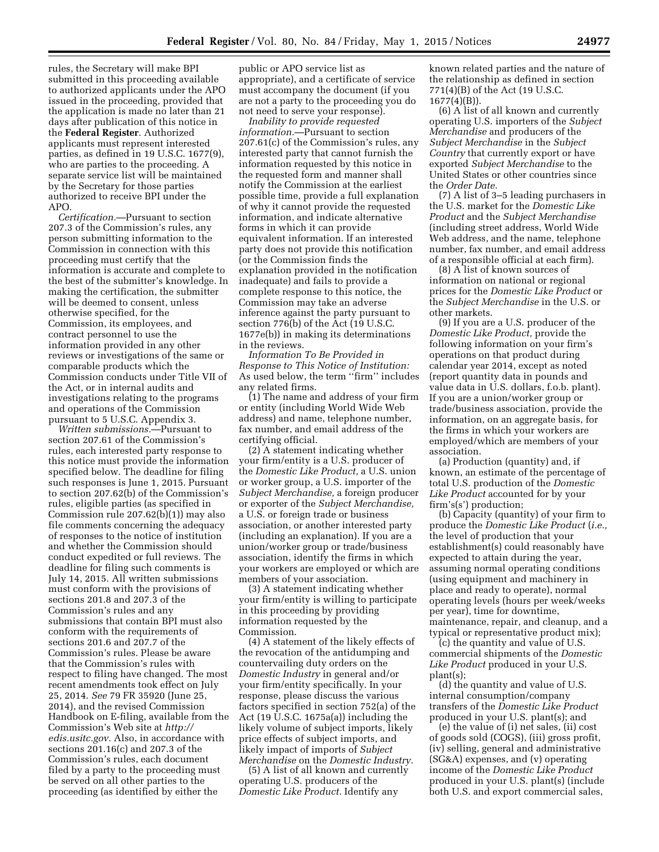rules, the Secretary will make BPI submitted in this proceeding available to authorized applicants under the APO issued in the proceeding, provided that the application is made no later than 21 days after publication of this notice in the **Federal Register**. Authorized applicants must represent interested parties, as defined in 19 U.S.C. 1677(9), who are parties to the proceeding. A separate service list will be maintained by the Secretary for those parties authorized to receive BPI under the APO.

*Certification.*—Pursuant to section 207.3 of the Commission's rules, any person submitting information to the Commission in connection with this proceeding must certify that the information is accurate and complete to the best of the submitter's knowledge. In making the certification, the submitter will be deemed to consent, unless otherwise specified, for the Commission, its employees, and contract personnel to use the information provided in any other reviews or investigations of the same or comparable products which the Commission conducts under Title VII of the Act, or in internal audits and investigations relating to the programs and operations of the Commission pursuant to 5 U.S.C. Appendix 3.

*Written submissions.*—Pursuant to section 207.61 of the Commission's rules, each interested party response to this notice must provide the information specified below. The deadline for filing such responses is June 1, 2015. Pursuant to section 207.62(b) of the Commission's rules, eligible parties (as specified in Commission rule 207.62(b)(1)) may also file comments concerning the adequacy of responses to the notice of institution and whether the Commission should conduct expedited or full reviews. The deadline for filing such comments is July 14, 2015. All written submissions must conform with the provisions of sections 201.8 and 207.3 of the Commission's rules and any submissions that contain BPI must also conform with the requirements of sections 201.6 and 207.7 of the Commission's rules. Please be aware that the Commission's rules with respect to filing have changed. The most recent amendments took effect on July 25, 2014. *See* 79 FR 35920 (June 25, 2014), and the revised Commission Handbook on E-filing, available from the Commission's Web site at *[http://](http://edis.usitc.gov) [edis.usitc.gov.](http://edis.usitc.gov)* Also, in accordance with sections 201.16(c) and 207.3 of the Commission's rules, each document filed by a party to the proceeding must be served on all other parties to the proceeding (as identified by either the

public or APO service list as appropriate), and a certificate of service must accompany the document (if you are not a party to the proceeding you do not need to serve your response).

*Inability to provide requested information.*—Pursuant to section 207.61(c) of the Commission's rules, any interested party that cannot furnish the information requested by this notice in the requested form and manner shall notify the Commission at the earliest possible time, provide a full explanation of why it cannot provide the requested information, and indicate alternative forms in which it can provide equivalent information. If an interested party does not provide this notification (or the Commission finds the explanation provided in the notification inadequate) and fails to provide a complete response to this notice, the Commission may take an adverse inference against the party pursuant to section 776(b) of the Act (19 U.S.C. 1677e(b)) in making its determinations in the reviews.

*Information To Be Provided in Response to This Notice of Institution:*  As used below, the term ''firm'' includes any related firms.

(1) The name and address of your firm or entity (including World Wide Web address) and name, telephone number, fax number, and email address of the certifying official.

(2) A statement indicating whether your firm/entity is a U.S. producer of the *Domestic Like Product,* a U.S. union or worker group, a U.S. importer of the *Subject Merchandise,* a foreign producer or exporter of the *Subject Merchandise,*  a U.S. or foreign trade or business association, or another interested party (including an explanation). If you are a union/worker group or trade/business association, identify the firms in which your workers are employed or which are members of your association.

(3) A statement indicating whether your firm/entity is willing to participate in this proceeding by providing information requested by the Commission.

(4) A statement of the likely effects of the revocation of the antidumping and countervailing duty orders on the *Domestic Industry* in general and/or your firm/entity specifically. In your response, please discuss the various factors specified in section 752(a) of the Act (19 U.S.C. 1675a(a)) including the likely volume of subject imports, likely price effects of subject imports, and likely impact of imports of *Subject Merchandise* on the *Domestic Industry.* 

(5) A list of all known and currently operating U.S. producers of the *Domestic Like Product.* Identify any

known related parties and the nature of the relationship as defined in section 771(4)(B) of the Act (19 U.S.C. 1677(4)(B)).

(6) A list of all known and currently operating U.S. importers of the *Subject Merchandise* and producers of the *Subject Merchandise* in the *Subject Country* that currently export or have exported *Subject Merchandise* to the United States or other countries since the *Order Date.* 

(7) A list of 3–5 leading purchasers in the U.S. market for the *Domestic Like Product* and the *Subject Merchandise*  (including street address, World Wide Web address, and the name, telephone number, fax number, and email address of a responsible official at each firm).

(8) A list of known sources of information on national or regional prices for the *Domestic Like Product* or the *Subject Merchandise* in the U.S. or other markets.

(9) If you are a U.S. producer of the *Domestic Like Product,* provide the following information on your firm's operations on that product during calendar year 2014, except as noted (report quantity data in pounds and value data in U.S. dollars, f.o.b. plant). If you are a union/worker group or trade/business association, provide the information, on an aggregate basis, for the firms in which your workers are employed/which are members of your association.

(a) Production (quantity) and, if known, an estimate of the percentage of total U.S. production of the *Domestic Like Product* accounted for by your firm's(s') production;

(b) Capacity (quantity) of your firm to produce the *Domestic Like Product* (*i.e.,*  the level of production that your establishment(s) could reasonably have expected to attain during the year, assuming normal operating conditions (using equipment and machinery in place and ready to operate), normal operating levels (hours per week/weeks per year), time for downtime, maintenance, repair, and cleanup, and a typical or representative product mix);

(c) the quantity and value of U.S. commercial shipments of the *Domestic Like Product* produced in your U.S. plant(s);

(d) the quantity and value of U.S. internal consumption/company transfers of the *Domestic Like Product*  produced in your U.S. plant(s); and

(e) the value of (i) net sales, (ii) cost of goods sold (COGS), (iii) gross profit, (iv) selling, general and administrative (SG&A) expenses, and (v) operating income of the *Domestic Like Product*  produced in your U.S. plant(s) (include both U.S. and export commercial sales,